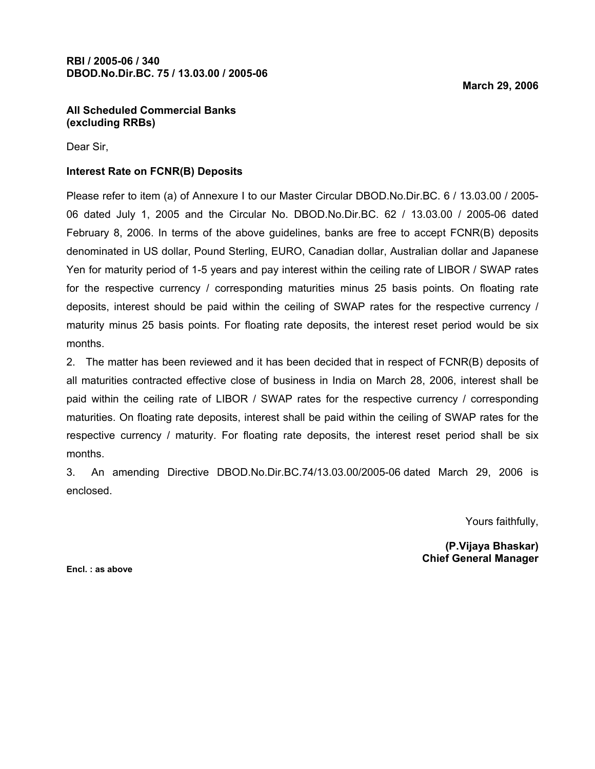#### All Scheduled Commercial Banks (excluding RRBs)

Dear Sir,

### Interest Rate on FCNR(B) Deposits

Please refer to item (a) of Annexure I to our Master Circular DBOD.No.Dir.BC. 6 / 13.03.00 / 2005- 06 dated July 1, 2005 and the Circular No. DBOD.No.Dir.BC. 62 / 13.03.00 / 2005-06 dated February 8, 2006. In terms of the above guidelines, banks are free to accept FCNR(B) deposits denominated in US dollar, Pound Sterling, EURO, Canadian dollar, Australian dollar and Japanese Yen for maturity period of 1-5 years and pay interest within the ceiling rate of LIBOR / SWAP rates for the respective currency / corresponding maturities minus 25 basis points. On floating rate deposits, interest should be paid within the ceiling of SWAP rates for the respective currency / maturity minus 25 basis points. For floating rate deposits, the interest reset period would be six months.

2. The matter has been reviewed and it has been decided that in respect of FCNR(B) deposits of all maturities contracted effective close of business in India on March 28, 2006, interest shall be paid within the ceiling rate of LIBOR / SWAP rates for the respective currency / corresponding maturities. On floating rate deposits, interest shall be paid within the ceiling of SWAP rates for the respective currency / maturity. For floating rate deposits, the interest reset period shall be six months.

3. An amending Directive DBOD.No.Dir.BC.74/13.03.00/2005-06 dated March 29, 2006 is enclosed.

Yours faithfully,

(P.Vijaya Bhaskar) Chief General Manager

Encl. : as above